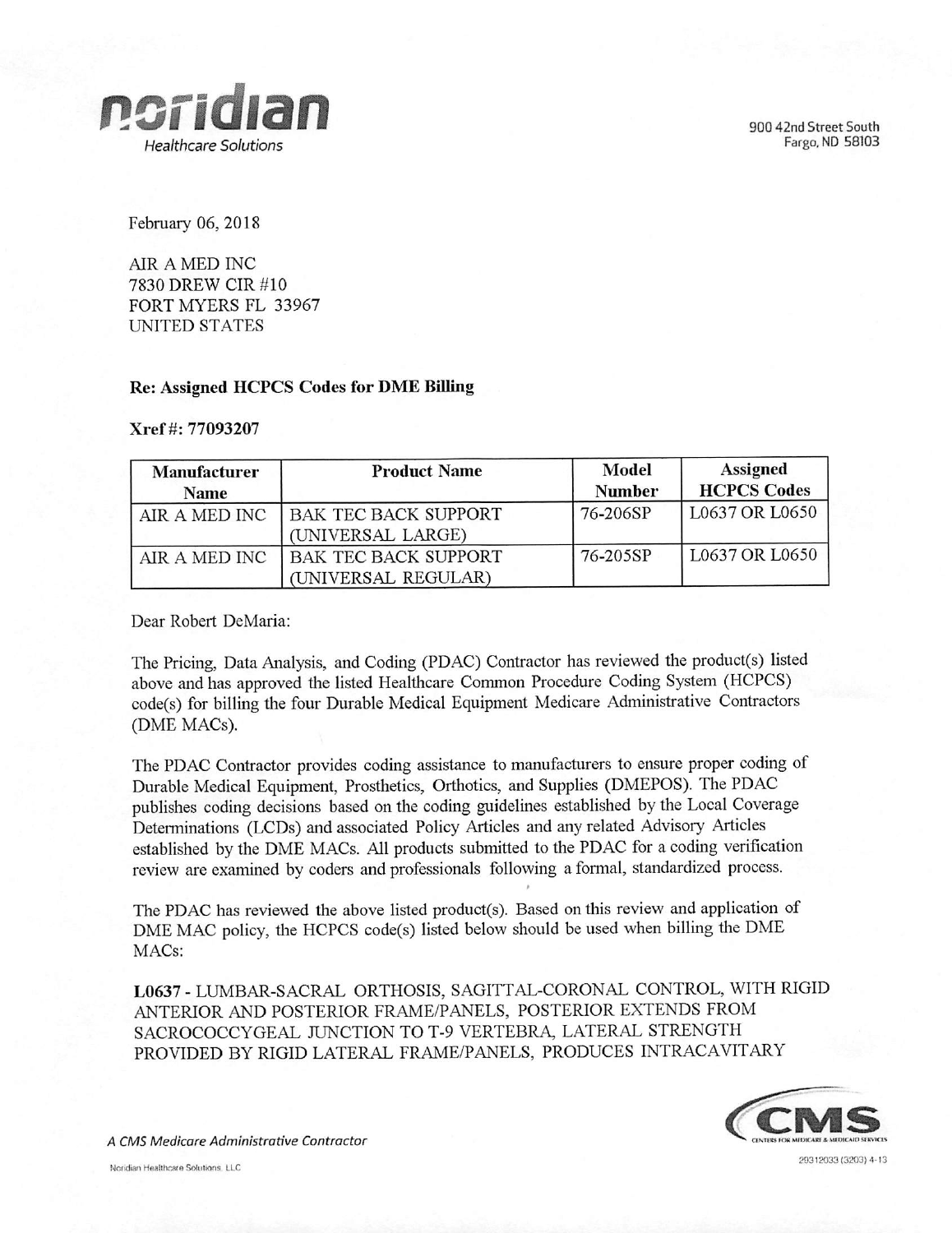

900 42nd Street South Fargo. ND 58103

February 06, 2018

AIR A MED INC 7830 DREW CIR #10 FORT MYERS FL 33967 UNITED STATES

## Re: Assigned HCPCS Codes for DME Billing

## Xref #: 77093207

| Manufacturer<br><b>Name</b> | <b>Product Name</b>                                | Model<br><b>Number</b> | <b>Assigned</b><br><b>HCPCS Codes</b> |
|-----------------------------|----------------------------------------------------|------------------------|---------------------------------------|
| AIR A MED INC               | BAK TEC BACK SUPPORT<br>(UNIVERSAL LARGE)          | 76-206SP               | L0637 OR L0650                        |
| AIR A MED INC               | <b>BAK TEC BACK SUPPORT</b><br>(UNIVERSAL REGULAR) | 76-205SP               | L0637 OR L0650                        |

Dear Robert DeMaria:

The Pricing, Data Analysis, and Coding (PDAC) Contractor has reviewed the product(s) listed above and has approved the listed Healthcare Common Procedure Coding System (HCPCS) code(s) for billing the four Durable Medical Equipment Medicare Administrative Contractors (DME MACs).

The PDAC Contractor provides coding assistance to manufacturers to ensure proper coding of Durable Medical Equipment, Prosthetics, Orthotics, and Supplies (DMEPOS). The PDAC publishes coding decisions based on the coding guidelines established by the Local Coverage Determinations (LCDs) and associated Policy Articles and any related Advisory Articles established by the DME MACs. All products submitted to the PDAC for a coding verification review are examined by coders and professionals following a formal, standardized process.

The PDAC has reviewed the above listed product(s). Based on this review and application of DME MAC policy, the HCPCS code(s) listed below should be used when billing the DME MACs:

»

L0637 - LUMBAR-SACRAL ORTHOSIS, SAGITTAL-CORONAL CONTROL, WITH RIGID ANTERIOR AND POSTERIOR FRAME/PANELS, POSTERIOR EXTENDS FROM SACROCOCCYGEAL JUNCTION TO T-9 VERTEBRA, LATERAL STRENGTH PROVIDED BY RIGID LATERAL FRAME/PANELS, PRODUCES INTRACAVITARY



29312033(3203)413

A CMS Medicare Administrative Contractor